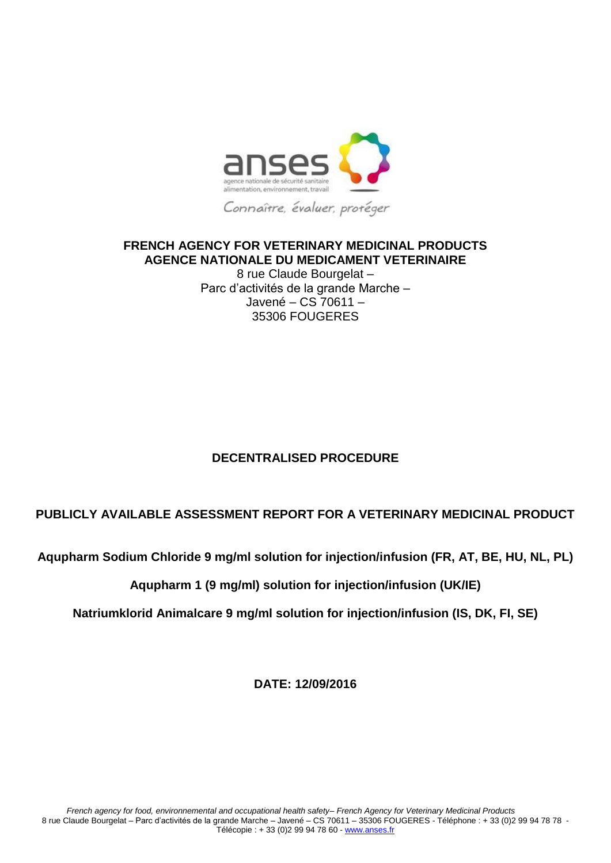

## **FRENCH AGENCY FOR VETERINARY MEDICINAL PRODUCTS AGENCE NATIONALE DU MEDICAMENT VETERINAIRE**

8 rue Claude Bourgelat – Parc d'activités de la grande Marche – Javené – CS 70611 – 35306 FOUGERES

## **DECENTRALISED PROCEDURE**

## **PUBLICLY AVAILABLE ASSESSMENT REPORT FOR A VETERINARY MEDICINAL PRODUCT**

**Aqupharm Sodium Chloride 9 mg/ml solution for injection/infusion (FR, AT, BE, HU, NL, PL)**

## **Aqupharm 1 (9 mg/ml) solution for injection/infusion (UK/IE)**

**Natriumklorid Animalcare 9 mg/ml solution for injection/infusion (IS, DK, FI, SE)**

**DATE: 12/09/2016**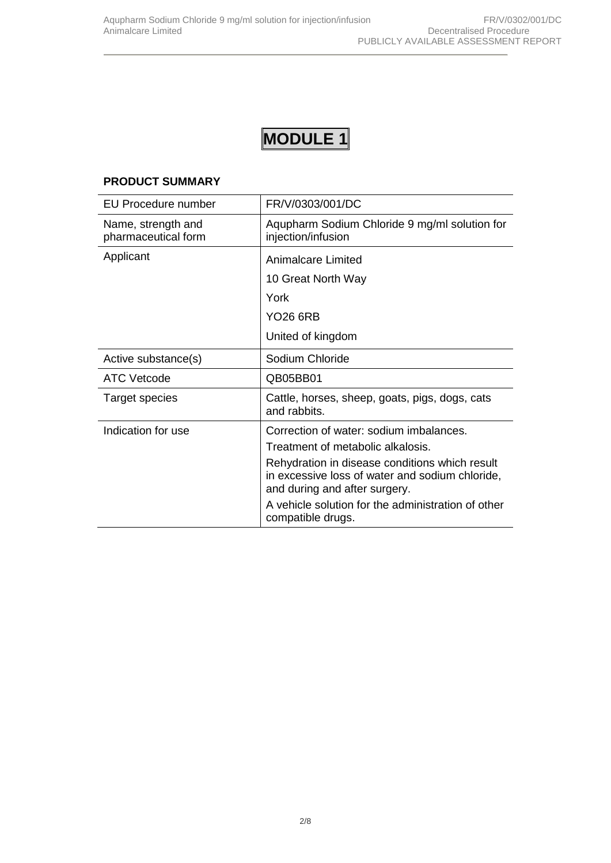# **MODULE 1**

#### **PRODUCT SUMMARY**

| <b>EU Procedure number</b>                | FR/V/0303/001/DC                                                                                                                   |  |  |
|-------------------------------------------|------------------------------------------------------------------------------------------------------------------------------------|--|--|
| Name, strength and<br>pharmaceutical form | Aqupharm Sodium Chloride 9 mg/ml solution for<br>injection/infusion                                                                |  |  |
| Applicant                                 | Animalcare Limited                                                                                                                 |  |  |
|                                           | 10 Great North Way                                                                                                                 |  |  |
|                                           | York                                                                                                                               |  |  |
|                                           | YO26 6RB                                                                                                                           |  |  |
|                                           | United of kingdom                                                                                                                  |  |  |
| Active substance(s)                       | Sodium Chloride                                                                                                                    |  |  |
| <b>ATC Vetcode</b>                        | QB05BB01                                                                                                                           |  |  |
| Target species                            | Cattle, horses, sheep, goats, pigs, dogs, cats<br>and rabbits.                                                                     |  |  |
| Indication for use                        | Correction of water: sodium imbalances.                                                                                            |  |  |
|                                           | Treatment of metabolic alkalosis.                                                                                                  |  |  |
|                                           | Rehydration in disease conditions which result<br>in excessive loss of water and sodium chloride,<br>and during and after surgery. |  |  |
|                                           | A vehicle solution for the administration of other<br>compatible drugs.                                                            |  |  |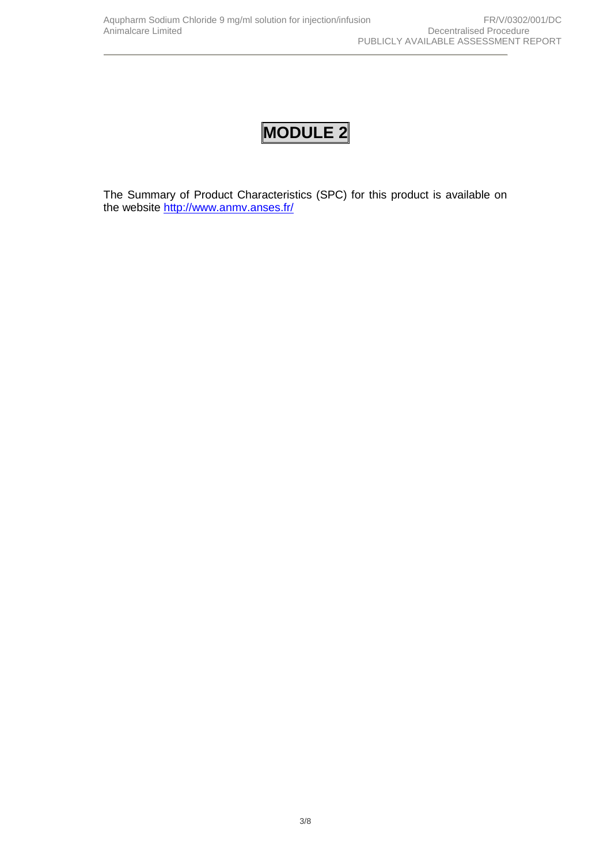## **MODULE 2**

The Summary of Product Characteristics (SPC) for this product is available on the website <http://www.anmv.anses.fr/>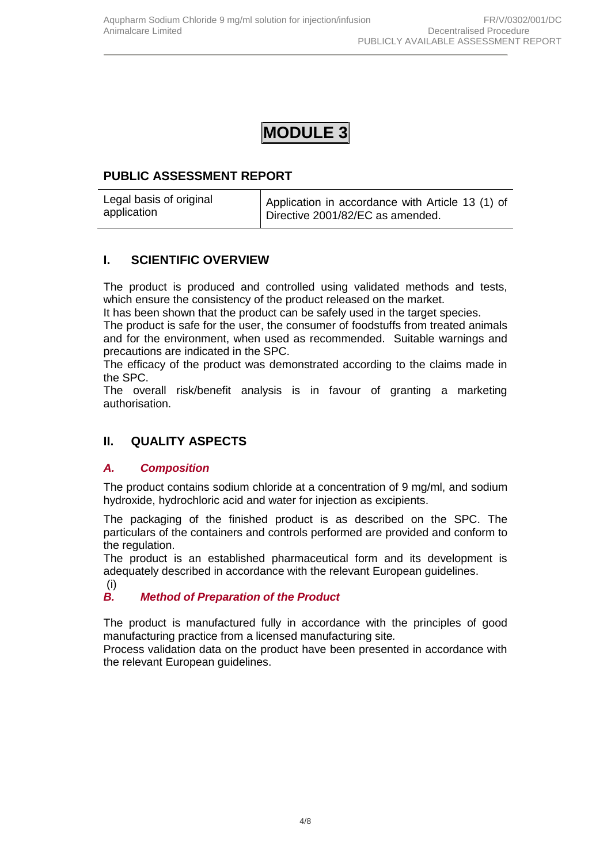## **MODULE 3**

## **PUBLIC ASSESSMENT REPORT**

| Legal basis of original<br>application | Application in accordance with Article 13 (1) of |  |  |
|----------------------------------------|--------------------------------------------------|--|--|
|                                        | Directive 2001/82/EC as amended.                 |  |  |

## **I. SCIENTIFIC OVERVIEW**

The product is produced and controlled using validated methods and tests, which ensure the consistency of the product released on the market.

It has been shown that the product can be safely used in the target species.

The product is safe for the user, the consumer of foodstuffs from treated animals and for the environment, when used as recommended. Suitable warnings and precautions are indicated in the SPC.

The efficacy of the product was demonstrated according to the claims made in the SPC.

The overall risk/benefit analysis is in favour of granting a marketing authorisation.

## **II. QUALITY ASPECTS**

## *A. Composition*

The product contains sodium chloride at a concentration of 9 mg/ml, and sodium hydroxide, hydrochloric acid and water for injection as excipients.

The packaging of the finished product is as described on the SPC. The particulars of the containers and controls performed are provided and conform to the regulation.

The product is an established pharmaceutical form and its development is adequately described in accordance with the relevant European guidelines.

#### (i)

## *B. Method of Preparation of the Product*

The product is manufactured fully in accordance with the principles of good manufacturing practice from a licensed manufacturing site*.*

Process validation data on the product have been presented in accordance with the relevant European guidelines.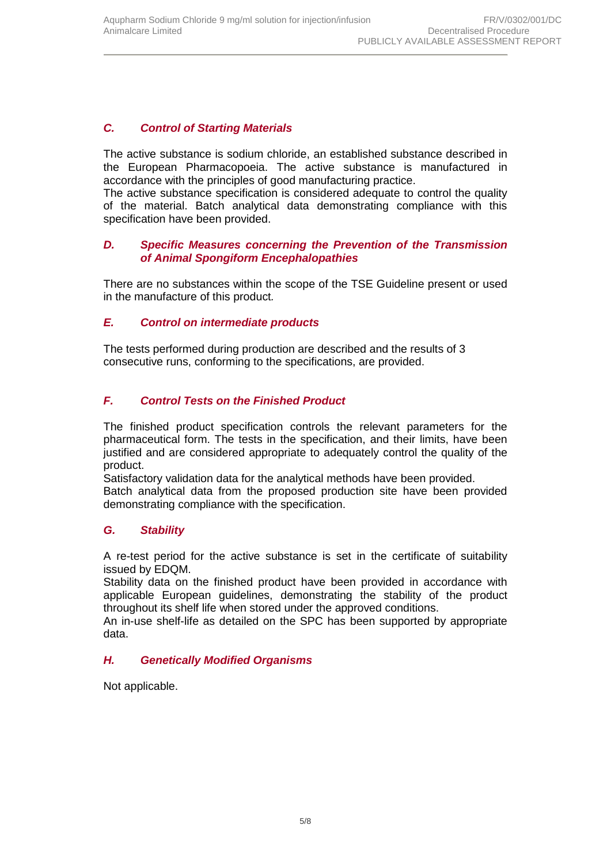## *C. Control of Starting Materials*

The active substance is sodium chloride, an established substance described in the European Pharmacopoeia. The active substance is manufactured in accordance with the principles of good manufacturing practice.

The active substance specification is considered adequate to control the quality of the material. Batch analytical data demonstrating compliance with this specification have been provided.

#### *D. Specific Measures concerning the Prevention of the Transmission of Animal Spongiform Encephalopathies*

There are no substances within the scope of the TSE Guideline present or used in the manufacture of this product*.*

### *E. Control on intermediate products*

The tests performed during production are described and the results of 3 consecutive runs, conforming to the specifications, are provided.

### *F. Control Tests on the Finished Product*

The finished product specification controls the relevant parameters for the pharmaceutical form. The tests in the specification, and their limits, have been justified and are considered appropriate to adequately control the quality of the product.

Satisfactory validation data for the analytical methods have been provided.

Batch analytical data from the proposed production site have been provided demonstrating compliance with the specification.

#### *G. Stability*

A re-test period for the active substance is set in the certificate of suitability issued by EDQM.

Stability data on the finished product have been provided in accordance with applicable European guidelines, demonstrating the stability of the product throughout its shelf life when stored under the approved conditions.

An in-use shelf-life as detailed on the SPC has been supported by appropriate data.

#### *H. Genetically Modified Organisms*

Not applicable.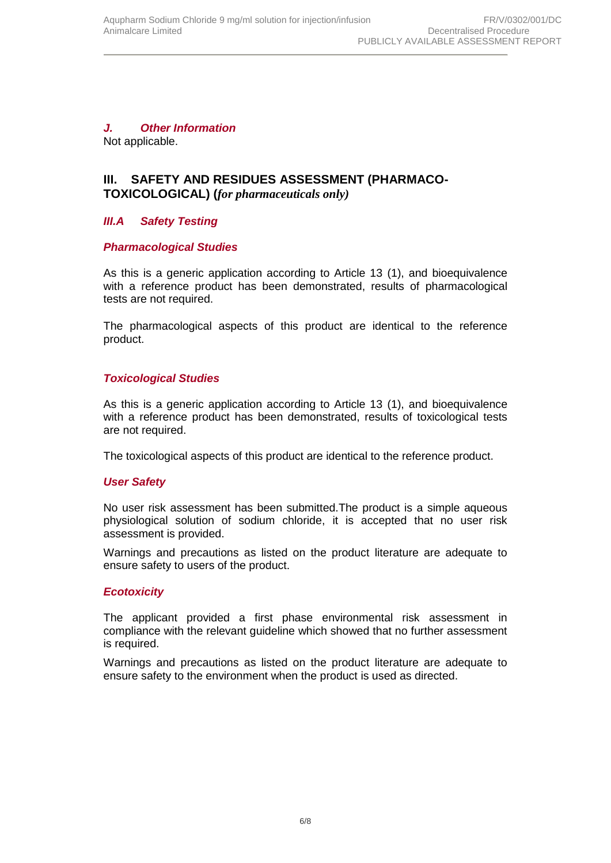## *J. Other Information*

Not applicable.

## **III. SAFETY AND RESIDUES ASSESSMENT (PHARMACO-TOXICOLOGICAL) (***for pharmaceuticals only)*

## *III.A Safety Testing*

#### *Pharmacological Studies*

As this is a generic application according to Article 13 (1), and bioequivalence with a reference product has been demonstrated, results of pharmacological tests are not required.

The pharmacological aspects of this product are identical to the reference product.

### *Toxicological Studies*

As this is a generic application according to Article 13 (1), and bioequivalence with a reference product has been demonstrated, results of toxicological tests are not required.

The toxicological aspects of this product are identical to the reference product.

#### *User Safety*

No user risk assessment has been submitted.The product is a simple aqueous physiological solution of sodium chloride, it is accepted that no user risk assessment is provided.

Warnings and precautions as listed on the product literature are adequate to ensure safety to users of the product.

#### *Ecotoxicity*

The applicant provided a first phase environmental risk assessment in compliance with the relevant guideline which showed that no further assessment is required.

Warnings and precautions as listed on the product literature are adequate to ensure safety to the environment when the product is used as directed.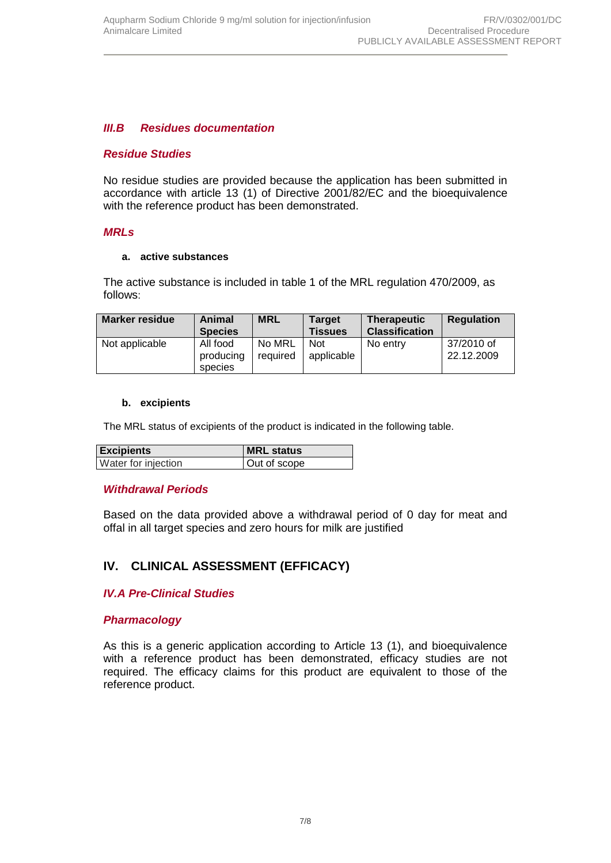## *III.B Residues documentation*

#### *Residue Studies*

No residue studies are provided because the application has been submitted in accordance with article 13 (1) of Directive 2001/82/EC and the bioequivalence with the reference product has been demonstrated.

#### *MRLs*

#### **a. active substances**

The active substance is included in table 1 of the MRL regulation 470/2009, as follows:

| <b>Marker residue</b> | Animal<br><b>Species</b>         | <b>MRL</b>         | <b>Target</b><br><b>Tissues</b> | <b>Therapeutic</b><br><b>Classification</b> | <b>Regulation</b>        |
|-----------------------|----------------------------------|--------------------|---------------------------------|---------------------------------------------|--------------------------|
| Not applicable        | All food<br>producing<br>species | No MRL<br>required | <b>Not</b><br>applicable        | No entry                                    | 37/2010 of<br>22.12.2009 |

#### **b. excipients**

The MRL status of excipients of the product is indicated in the following table.

| <b>Excipients</b>   | <b>MRL</b> status |
|---------------------|-------------------|
| Water for injection | Out of scope      |

#### *Withdrawal Periods*

Based on the data provided above a withdrawal period of 0 day for meat and offal in all target species and zero hours for milk are justified

## **IV. CLINICAL ASSESSMENT (EFFICACY)**

#### *IV.A Pre-Clinical Studies*

#### *Pharmacology*

As this is a generic application according to Article 13 (1), and bioequivalence with a reference product has been demonstrated, efficacy studies are not required. The efficacy claims for this product are equivalent to those of the reference product.